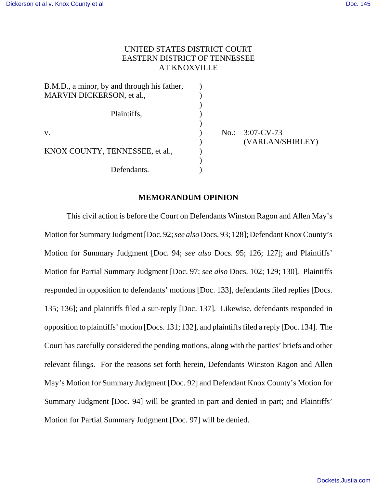# UNITED STATES DISTRICT COURT EASTERN DISTRICT OF TENNESSEE AT KNOXVILLE

)

)

)

 $B.M.D., a minor, by and through his father,  $\qquad$ )$ MARVIN DICKERSON, et al.,  $\qquad \qquad$  ) Plaintiffs,  $\qquad \qquad$ ) v. ) No.: 3:07-CV-73 KNOX COUNTY, TENNESSEE, et al., Defendants.

) (VARLAN/SHIRLEY)

# **MEMORANDUM OPINION**

This civil action is before the Court on Defendants Winston Ragon and Allen May's Motion for Summary Judgment [Doc. 92; *see also* Docs. 93; 128]; Defendant Knox County's Motion for Summary Judgment [Doc. 94; *see also* Docs. 95; 126; 127]; and Plaintiffs' Motion for Partial Summary Judgment [Doc. 97; *see also* Docs. 102; 129; 130]. Plaintiffs responded in opposition to defendants' motions [Doc. 133], defendants filed replies [Docs. 135; 136]; and plaintiffs filed a sur-reply [Doc. 137]. Likewise, defendants responded in opposition to plaintiffs' motion [Docs. 131; 132], and plaintiffs filed a reply [Doc. 134]. The Court has carefully considered the pending motions, along with the parties' briefs and other relevant filings. For the reasons set forth herein, Defendants Winston Ragon and Allen May's Motion for Summary Judgment [Doc. 92] and Defendant Knox County's Motion for Summary Judgment [Doc. 94] will be granted in part and denied in part; and Plaintiffs' Motion for Partial Summary Judgment [Doc. 97] will be denied.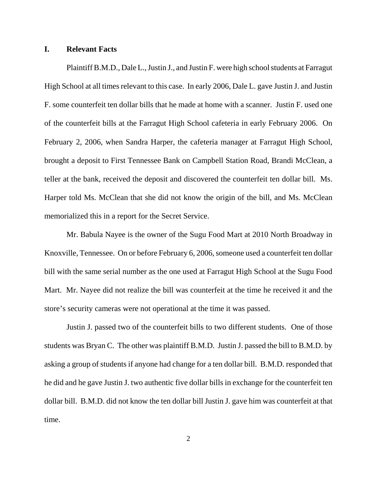## **I. Relevant Facts**

Plaintiff B.M.D., Dale L., Justin J., and Justin F. were high school students at Farragut High School at all times relevant to this case. In early 2006, Dale L. gave Justin J. and Justin F. some counterfeit ten dollar bills that he made at home with a scanner. Justin F. used one of the counterfeit bills at the Farragut High School cafeteria in early February 2006. On February 2, 2006, when Sandra Harper, the cafeteria manager at Farragut High School, brought a deposit to First Tennessee Bank on Campbell Station Road, Brandi McClean, a teller at the bank, received the deposit and discovered the counterfeit ten dollar bill. Ms. Harper told Ms. McClean that she did not know the origin of the bill, and Ms. McClean memorialized this in a report for the Secret Service.

Mr. Babula Nayee is the owner of the Sugu Food Mart at 2010 North Broadway in Knoxville, Tennessee. On or before February 6, 2006, someone used a counterfeit ten dollar bill with the same serial number as the one used at Farragut High School at the Sugu Food Mart. Mr. Nayee did not realize the bill was counterfeit at the time he received it and the store's security cameras were not operational at the time it was passed.

Justin J. passed two of the counterfeit bills to two different students. One of those students was Bryan C. The other was plaintiff B.M.D. Justin J. passed the bill to B.M.D. by asking a group of students if anyone had change for a ten dollar bill. B.M.D. responded that he did and he gave Justin J. two authentic five dollar bills in exchange for the counterfeit ten dollar bill. B.M.D. did not know the ten dollar bill Justin J. gave him was counterfeit at that time.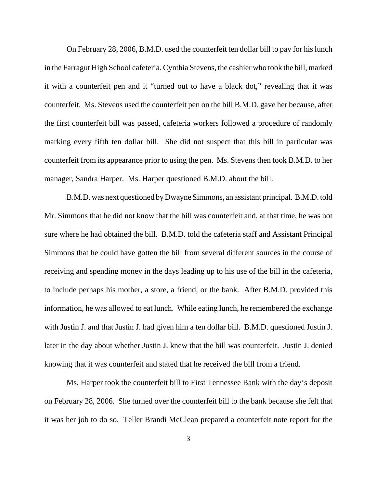On February 28, 2006, B.M.D. used the counterfeit ten dollar bill to pay for his lunch in the Farragut High School cafeteria. Cynthia Stevens, the cashier who took the bill, marked it with a counterfeit pen and it "turned out to have a black dot," revealing that it was counterfeit. Ms. Stevens used the counterfeit pen on the bill B.M.D. gave her because, after the first counterfeit bill was passed, cafeteria workers followed a procedure of randomly marking every fifth ten dollar bill. She did not suspect that this bill in particular was counterfeit from its appearance prior to using the pen. Ms. Stevens then took B.M.D. to her manager, Sandra Harper. Ms. Harper questioned B.M.D. about the bill.

B.M.D. was next questioned by Dwayne Simmons, an assistant principal. B.M.D. told Mr. Simmons that he did not know that the bill was counterfeit and, at that time, he was not sure where he had obtained the bill. B.M.D. told the cafeteria staff and Assistant Principal Simmons that he could have gotten the bill from several different sources in the course of receiving and spending money in the days leading up to his use of the bill in the cafeteria, to include perhaps his mother, a store, a friend, or the bank. After B.M.D. provided this information, he was allowed to eat lunch. While eating lunch, he remembered the exchange with Justin J. and that Justin J. had given him a ten dollar bill. B.M.D. questioned Justin J. later in the day about whether Justin J. knew that the bill was counterfeit. Justin J. denied knowing that it was counterfeit and stated that he received the bill from a friend.

Ms. Harper took the counterfeit bill to First Tennessee Bank with the day's deposit on February 28, 2006. She turned over the counterfeit bill to the bank because she felt that it was her job to do so. Teller Brandi McClean prepared a counterfeit note report for the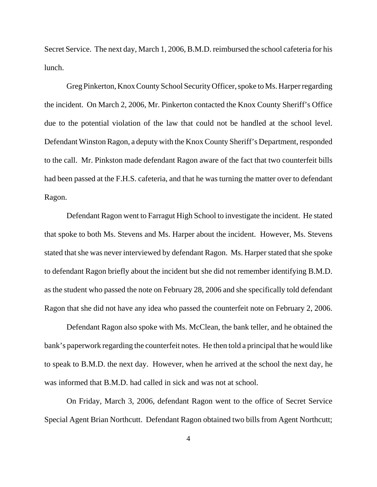Secret Service. The next day, March 1, 2006, B.M.D. reimbursed the school cafeteria for his lunch.

Greg Pinkerton, Knox County School Security Officer, spoke to Ms. Harper regarding the incident. On March 2, 2006, Mr. Pinkerton contacted the Knox County Sheriff's Office due to the potential violation of the law that could not be handled at the school level. Defendant Winston Ragon, a deputy with the Knox County Sheriff's Department, responded to the call. Mr. Pinkston made defendant Ragon aware of the fact that two counterfeit bills had been passed at the F.H.S. cafeteria, and that he was turning the matter over to defendant Ragon.

Defendant Ragon went to Farragut High School to investigate the incident. He stated that spoke to both Ms. Stevens and Ms. Harper about the incident. However, Ms. Stevens stated that she was never interviewed by defendant Ragon. Ms. Harper stated that she spoke to defendant Ragon briefly about the incident but she did not remember identifying B.M.D. as the student who passed the note on February 28, 2006 and she specifically told defendant Ragon that she did not have any idea who passed the counterfeit note on February 2, 2006.

Defendant Ragon also spoke with Ms. McClean, the bank teller, and he obtained the bank's paperwork regarding the counterfeit notes. He then told a principal that he would like to speak to B.M.D. the next day. However, when he arrived at the school the next day, he was informed that B.M.D. had called in sick and was not at school.

On Friday, March 3, 2006, defendant Ragon went to the office of Secret Service Special Agent Brian Northcutt. Defendant Ragon obtained two bills from Agent Northcutt;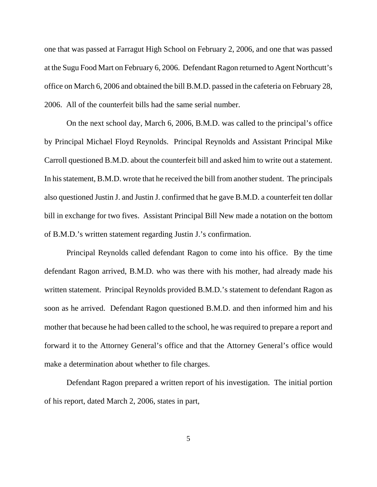one that was passed at Farragut High School on February 2, 2006, and one that was passed at the Sugu Food Mart on February 6, 2006. Defendant Ragon returned to Agent Northcutt's office on March 6, 2006 and obtained the bill B.M.D. passed in the cafeteria on February 28, 2006. All of the counterfeit bills had the same serial number.

On the next school day, March 6, 2006, B.M.D. was called to the principal's office by Principal Michael Floyd Reynolds. Principal Reynolds and Assistant Principal Mike Carroll questioned B.M.D. about the counterfeit bill and asked him to write out a statement. In his statement, B.M.D. wrote that he received the bill from another student. The principals also questioned Justin J. and Justin J. confirmed that he gave B.M.D. a counterfeit ten dollar bill in exchange for two fives. Assistant Principal Bill New made a notation on the bottom of B.M.D.'s written statement regarding Justin J.'s confirmation.

Principal Reynolds called defendant Ragon to come into his office. By the time defendant Ragon arrived, B.M.D. who was there with his mother, had already made his written statement. Principal Reynolds provided B.M.D.'s statement to defendant Ragon as soon as he arrived. Defendant Ragon questioned B.M.D. and then informed him and his mother that because he had been called to the school, he was required to prepare a report and forward it to the Attorney General's office and that the Attorney General's office would make a determination about whether to file charges.

Defendant Ragon prepared a written report of his investigation. The initial portion of his report, dated March 2, 2006, states in part,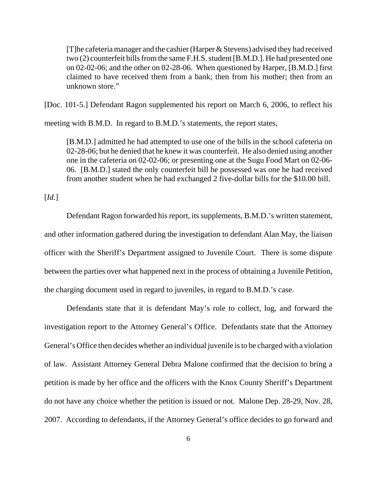[T]he cafeteria manager and the cashier (Harper & Stevens) advised they had received two (2) counterfeit bills from the same F.H.S. student [B.M.D.]. He had presented one on 02-02-06; and the other on 02-28-06. When questioned by Harper, [B.M.D.] first claimed to have received them from a bank; then from his mother; then from an unknown store."

[Doc. 101-5.] Defendant Ragon supplemented his report on March 6, 2006, to reflect his

meeting with B.M.D. In regard to B.M.D.'s statements, the report states,

[B.M.D.] admitted he had attempted to use one of the bills in the school cafeteria on 02-28-06; but he denied that he knew it was counterfeit. He also denied using another one in the cafeteria on 02-02-06; or presenting one at the Sugu Food Mart on 02-06- 06. [B.M.D.] stated the only counterfeit bill he possessed was one he had received from another student when he had exchanged 2 five-dollar bills for the \$10.00 bill.

[*Id.*]

Defendant Ragon forwarded his report, its supplements, B.M.D.'s written statement, and other information gathered during the investigation to defendant Alan May, the liaison officer with the Sheriff's Department assigned to Juvenile Court. There is some dispute between the parties over what happened next in the process of obtaining a Juvenile Petition, the charging document used in regard to juveniles, in regard to B.M.D.'s case.

Defendants state that it is defendant May's role to collect, log, and forward the investigation report to the Attorney General's Office. Defendants state that the Attorney General's Office then decides whether an individual juvenile is to be charged with a violation of law. Assistant Attorney General Debra Malone confirmed that the decision to bring a petition is made by her office and the officers with the Knox County Sheriff's Department do not have any choice whether the petition is issued or not. Malone Dep. 28-29, Nov. 28, 2007. According to defendants, if the Attorney General's office decides to go forward and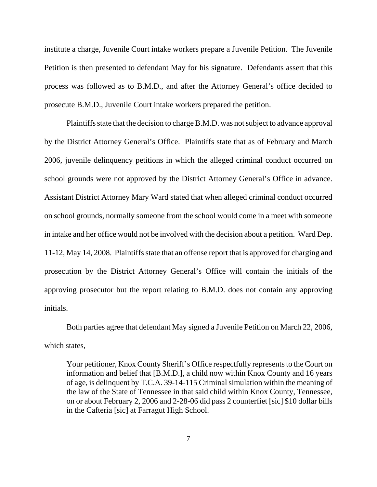institute a charge, Juvenile Court intake workers prepare a Juvenile Petition. The Juvenile Petition is then presented to defendant May for his signature. Defendants assert that this process was followed as to B.M.D., and after the Attorney General's office decided to prosecute B.M.D., Juvenile Court intake workers prepared the petition.

Plaintiffs state that the decision to charge B.M.D. was not subject to advance approval by the District Attorney General's Office. Plaintiffs state that as of February and March 2006, juvenile delinquency petitions in which the alleged criminal conduct occurred on school grounds were not approved by the District Attorney General's Office in advance. Assistant District Attorney Mary Ward stated that when alleged criminal conduct occurred on school grounds, normally someone from the school would come in a meet with someone in intake and her office would not be involved with the decision about a petition. Ward Dep. 11-12, May 14, 2008. Plaintiffs state that an offense report that is approved for charging and prosecution by the District Attorney General's Office will contain the initials of the approving prosecutor but the report relating to B.M.D. does not contain any approving initials.

Both parties agree that defendant May signed a Juvenile Petition on March 22, 2006, which states,

Your petitioner, Knox County Sheriff's Office respectfully represents to the Court on information and belief that [B.M.D.], a child now within Knox County and 16 years of age, is delinquent by T.C.A. 39-14-115 Criminal simulation within the meaning of the law of the State of Tennessee in that said child within Knox County, Tennessee, on or about February 2, 2006 and 2-28-06 did pass 2 counterfiet [sic] \$10 dollar bills in the Cafteria [sic] at Farragut High School.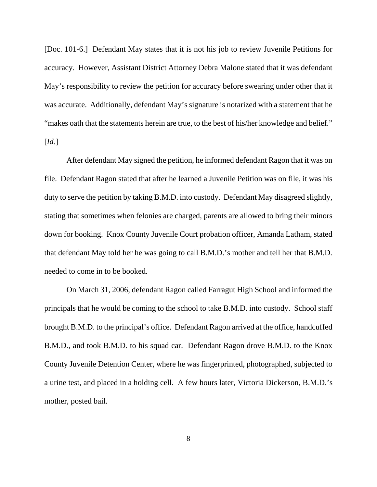[Doc. 101-6.] Defendant May states that it is not his job to review Juvenile Petitions for accuracy. However, Assistant District Attorney Debra Malone stated that it was defendant May's responsibility to review the petition for accuracy before swearing under other that it was accurate. Additionally, defendant May's signature is notarized with a statement that he "makes oath that the statements herein are true, to the best of his/her knowledge and belief." [*Id.*]

After defendant May signed the petition, he informed defendant Ragon that it was on file. Defendant Ragon stated that after he learned a Juvenile Petition was on file, it was his duty to serve the petition by taking B.M.D. into custody. Defendant May disagreed slightly, stating that sometimes when felonies are charged, parents are allowed to bring their minors down for booking. Knox County Juvenile Court probation officer, Amanda Latham, stated that defendant May told her he was going to call B.M.D.'s mother and tell her that B.M.D. needed to come in to be booked.

On March 31, 2006, defendant Ragon called Farragut High School and informed the principals that he would be coming to the school to take B.M.D. into custody. School staff brought B.M.D. to the principal's office. Defendant Ragon arrived at the office, handcuffed B.M.D., and took B.M.D. to his squad car. Defendant Ragon drove B.M.D. to the Knox County Juvenile Detention Center, where he was fingerprinted, photographed, subjected to a urine test, and placed in a holding cell. A few hours later, Victoria Dickerson, B.M.D.'s mother, posted bail.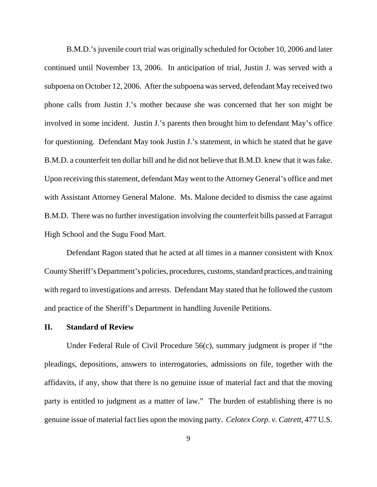B.M.D.'s juvenile court trial was originally scheduled for October 10, 2006 and later continued until November 13, 2006. In anticipation of trial, Justin J. was served with a subpoena on October 12, 2006. After the subpoena was served, defendant May received two phone calls from Justin J.'s mother because she was concerned that her son might be involved in some incident. Justin J.'s parents then brought him to defendant May's office for questioning. Defendant May took Justin J.'s statement, in which he stated that he gave B.M.D. a counterfeit ten dollar bill and he did not believe that B.M.D. knew that it was fake. Upon receiving this statement, defendant May went to the Attorney General's office and met with Assistant Attorney General Malone. Ms. Malone decided to dismiss the case against B.M.D. There was no further investigation involving the counterfeit bills passed at Farragut High School and the Sugu Food Mart.

Defendant Ragon stated that he acted at all times in a manner consistent with Knox County Sheriff's Department's policies, procedures, customs, standard practices, and training with regard to investigations and arrests. Defendant May stated that he followed the custom and practice of the Sheriff's Department in handling Juvenile Petitions.

### **II. Standard of Review**

Under Federal Rule of Civil Procedure 56(c), summary judgment is proper if "the pleadings, depositions, answers to interrogatories, admissions on file, together with the affidavits, if any, show that there is no genuine issue of material fact and that the moving party is entitled to judgment as a matter of law." The burden of establishing there is no genuine issue of material fact lies upon the moving party. *Celotex Corp. v. Catrett*, 477 U.S.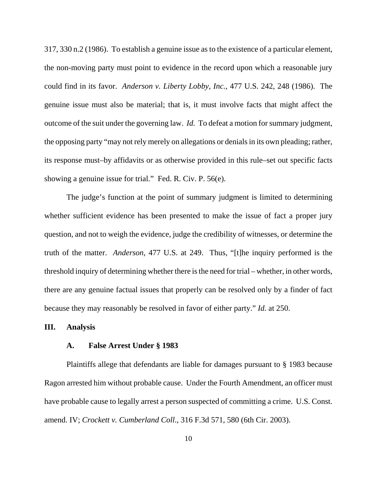317, 330 n.2 (1986). To establish a genuine issue as to the existence of a particular element, the non-moving party must point to evidence in the record upon which a reasonable jury could find in its favor. *Anderson v. Liberty Lobby, Inc.*, 477 U.S. 242, 248 (1986). The genuine issue must also be material; that is, it must involve facts that might affect the outcome of the suit under the governing law. *Id.* To defeat a motion for summary judgment, the opposing party "may not rely merely on allegations or denials in its own pleading; rather, its response must–by affidavits or as otherwise provided in this rule–set out specific facts showing a genuine issue for trial." Fed. R. Civ. P. 56(e).

The judge's function at the point of summary judgment is limited to determining whether sufficient evidence has been presented to make the issue of fact a proper jury question, and not to weigh the evidence, judge the credibility of witnesses, or determine the truth of the matter. *Anderson*, 477 U.S. at 249. Thus, "[t]he inquiry performed is the threshold inquiry of determining whether there is the need for trial – whether, in other words, there are any genuine factual issues that properly can be resolved only by a finder of fact because they may reasonably be resolved in favor of either party." *Id.* at 250.

### **III. Analysis**

## **A. False Arrest Under § 1983**

Plaintiffs allege that defendants are liable for damages pursuant to § 1983 because Ragon arrested him without probable cause. Under the Fourth Amendment, an officer must have probable cause to legally arrest a person suspected of committing a crime. U.S. Const. amend. IV; *Crockett v. Cumberland Coll*., 316 F.3d 571, 580 (6th Cir. 2003).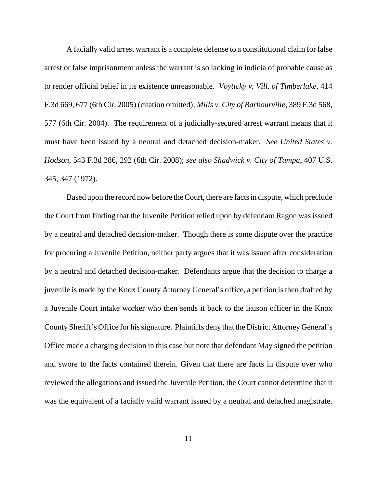A facially valid arrest warrant is a complete defense to a constitutional claim for false arrest or false imprisonment unless the warrant is so lacking in indicia of probable cause as to render official belief in its existence unreasonable. *Voyticky v. Vill. of Timberlake*, 414 F.3d 669, 677 (6th Cir. 2005) (citation omitted); *Mills v. City of Barbourville,* 389 F.3d 568, 577 (6th Cir. 2004). The requirement of a judicially-secured arrest warrant means that it must have been issued by a neutral and detached decision-maker. *See United States v. Hodson*, 543 F.3d 286, 292 (6th Cir. 2008); *see also Shadwick v. City of Tampa*, 407 U.S. 345, 347 (1972).

Based upon the record now before the Court, there are facts in dispute, which preclude the Court from finding that the Juvenile Petition relied upon by defendant Ragon was issued by a neutral and detached decision-maker. Though there is some dispute over the practice for procuring a Juvenile Petition, neither party argues that it was issued after consideration by a neutral and detached decision-maker. Defendants argue that the decision to charge a juvenile is made by the Knox County Attorney General's office, a petition is then drafted by a Juvenile Court intake worker who then sends it back to the liaison officer in the Knox County Sheriff's Office for his signature. Plaintiffs deny that the District Attorney General's Office made a charging decision in this case but note that defendant May signed the petition and swore to the facts contained therein. Given that there are facts in dispute over who reviewed the allegations and issued the Juvenile Petition, the Court cannot determine that it was the equivalent of a facially valid warrant issued by a neutral and detached magistrate.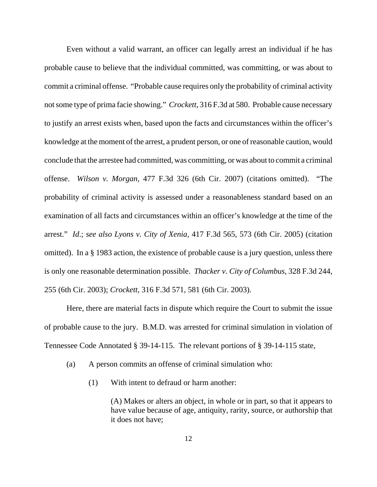Even without a valid warrant, an officer can legally arrest an individual if he has probable cause to believe that the individual committed, was committing, or was about to commit a criminal offense. "Probable cause requires only the probability of criminal activity not some type of prima facie showing." *Crockett*, 316 F.3d at 580. Probable cause necessary to justify an arrest exists when, based upon the facts and circumstances within the officer's knowledge at the moment of the arrest, a prudent person, or one of reasonable caution, would conclude that the arrestee had committed, was committing, or was about to commit a criminal offense. *Wilson v. Morgan*, 477 F.3d 326 (6th Cir. 2007) (citations omitted). "The probability of criminal activity is assessed under a reasonableness standard based on an examination of all facts and circumstances within an officer's knowledge at the time of the arrest." *Id*.; *see also Lyons v. City of Xenia*, 417 F.3d 565, 573 (6th Cir. 2005) (citation omitted). In a § 1983 action, the existence of probable cause is a jury question, unless there is only one reasonable determination possible. *Thacker v. City of Columbus*, 328 F.3d 244, 255 (6th Cir. 2003); *Crockett*, 316 F.3d 571, 581 (6th Cir. 2003).

Here, there are material facts in dispute which require the Court to submit the issue of probable cause to the jury. B.M.D. was arrested for criminal simulation in violation of Tennessee Code Annotated § 39-14-115. The relevant portions of § 39-14-115 state,

- (a) A person commits an offense of criminal simulation who:
	- (1) With intent to defraud or harm another:

(A) Makes or alters an object, in whole or in part, so that it appears to have value because of age, antiquity, rarity, source, or authorship that it does not have;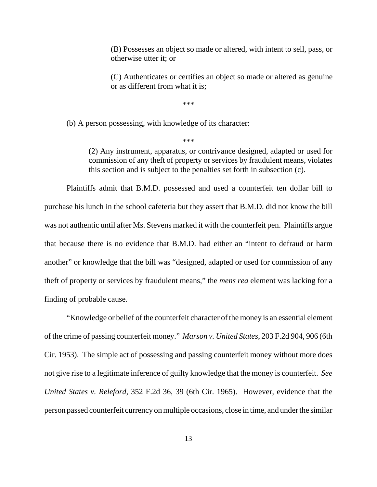(B) Possesses an object so made or altered, with intent to sell, pass, or otherwise utter it; or

(C) Authenticates or certifies an object so made or altered as genuine or as different from what it is;

\*\*\*

(b) A person possessing, with knowledge of its character:

\*\*\*

(2) Any instrument, apparatus, or contrivance designed, adapted or used for commission of any theft of property or services by fraudulent means, violates this section and is subject to the penalties set forth in subsection (c).

Plaintiffs admit that B.M.D. possessed and used a counterfeit ten dollar bill to purchase his lunch in the school cafeteria but they assert that B.M.D. did not know the bill was not authentic until after Ms. Stevens marked it with the counterfeit pen. Plaintiffs argue that because there is no evidence that B.M.D. had either an "intent to defraud or harm another" or knowledge that the bill was "designed, adapted or used for commission of any theft of property or services by fraudulent means," the *mens rea* element was lacking for a finding of probable cause.

"Knowledge or belief of the counterfeit character of the money is an essential element of the crime of passing counterfeit money." *Marson v. United States*, 203 F.2d 904, 906 (6th Cir. 1953). The simple act of possessing and passing counterfeit money without more does not give rise to a legitimate inference of guilty knowledge that the money is counterfeit. *See United States v. Releford*, 352 F.2d 36, 39 (6th Cir. 1965). However, evidence that the person passed counterfeit currency on multiple occasions, close in time, and under the similar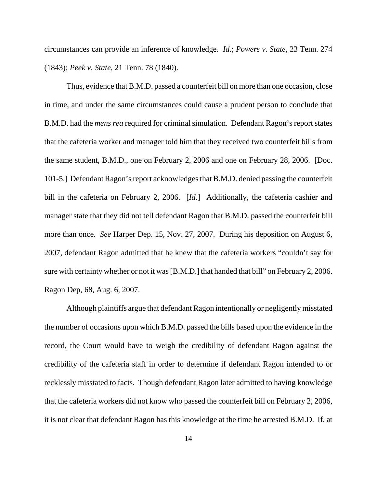circumstances can provide an inference of knowledge. *Id.*; *Powers v. State*, 23 Tenn. 274 (1843); *Peek v. State*, 21 Tenn. 78 (1840).

Thus, evidence that B.M.D. passed a counterfeit bill on more than one occasion, close in time, and under the same circumstances could cause a prudent person to conclude that B.M.D. had the *mens rea* required for criminal simulation. Defendant Ragon's report states that the cafeteria worker and manager told him that they received two counterfeit bills from the same student, B.M.D., one on February 2, 2006 and one on February 28, 2006. [Doc. 101-5.] Defendant Ragon's report acknowledges that B.M.D. denied passing the counterfeit bill in the cafeteria on February 2, 2006. [*Id.*] Additionally, the cafeteria cashier and manager state that they did not tell defendant Ragon that B.M.D. passed the counterfeit bill more than once. *See* Harper Dep. 15, Nov. 27, 2007. During his deposition on August 6, 2007, defendant Ragon admitted that he knew that the cafeteria workers "couldn't say for sure with certainty whether or not it was [B.M.D.] that handed that bill" on February 2, 2006. Ragon Dep, 68, Aug. 6, 2007.

Although plaintiffs argue that defendant Ragon intentionally or negligently misstated the number of occasions upon which B.M.D. passed the bills based upon the evidence in the record, the Court would have to weigh the credibility of defendant Ragon against the credibility of the cafeteria staff in order to determine if defendant Ragon intended to or recklessly misstated to facts. Though defendant Ragon later admitted to having knowledge that the cafeteria workers did not know who passed the counterfeit bill on February 2, 2006, it is not clear that defendant Ragon has this knowledge at the time he arrested B.M.D. If, at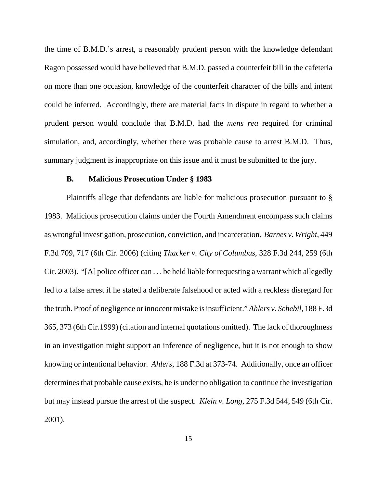the time of B.M.D.'s arrest, a reasonably prudent person with the knowledge defendant Ragon possessed would have believed that B.M.D. passed a counterfeit bill in the cafeteria on more than one occasion, knowledge of the counterfeit character of the bills and intent could be inferred. Accordingly, there are material facts in dispute in regard to whether a prudent person would conclude that B.M.D. had the *mens rea* required for criminal simulation, and, accordingly, whether there was probable cause to arrest B.M.D. Thus, summary judgment is inappropriate on this issue and it must be submitted to the jury.

## **B. Malicious Prosecution Under § 1983**

Plaintiffs allege that defendants are liable for malicious prosecution pursuant to § 1983. Malicious prosecution claims under the Fourth Amendment encompass such claims as wrongful investigation, prosecution, conviction, and incarceration. *Barnes v. Wright*, 449 F.3d 709, 717 (6th Cir. 2006) (citing *Thacker v. City of Columbus*, 328 F.3d 244, 259 (6th Cir. 2003). "[A] police officer can . . . be held liable for requesting a warrant which allegedly led to a false arrest if he stated a deliberate falsehood or acted with a reckless disregard for the truth. Proof of negligence or innocent mistake is insufficient." *Ahlers v. Schebil*, 188 F.3d 365, 373 (6th Cir.1999) (citation and internal quotations omitted). The lack of thoroughness in an investigation might support an inference of negligence, but it is not enough to show knowing or intentional behavior. *Ahlers*, 188 F.3d at 373-74. Additionally, once an officer determines that probable cause exists, he is under no obligation to continue the investigation but may instead pursue the arrest of the suspect. *Klein v. Long*, 275 F.3d 544, 549 (6th Cir. 2001).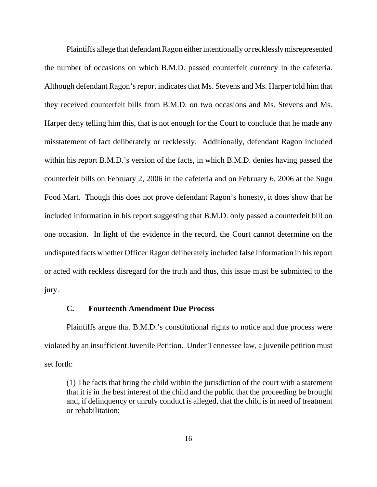Plaintiffs allege that defendant Ragon either intentionally or recklessly misrepresented the number of occasions on which B.M.D. passed counterfeit currency in the cafeteria. Although defendant Ragon's report indicates that Ms. Stevens and Ms. Harper told him that they received counterfeit bills from B.M.D. on two occasions and Ms. Stevens and Ms. Harper deny telling him this, that is not enough for the Court to conclude that he made any misstatement of fact deliberately or recklessly. Additionally, defendant Ragon included within his report B.M.D.'s version of the facts, in which B.M.D. denies having passed the counterfeit bills on February 2, 2006 in the cafeteria and on February 6, 2006 at the Sugu Food Mart. Though this does not prove defendant Ragon's honesty, it does show that he included information in his report suggesting that B.M.D. only passed a counterfeit bill on one occasion. In light of the evidence in the record, the Court cannot determine on the undisputed facts whether Officer Ragon deliberately included false information in his report or acted with reckless disregard for the truth and thus, this issue must be submitted to the jury.

# **C. Fourteenth Amendment Due Process**

Plaintiffs argue that B.M.D.'s constitutional rights to notice and due process were violated by an insufficient Juvenile Petition. Under Tennessee law, a juvenile petition must set forth:

(1) The facts that bring the child within the jurisdiction of the court with a statement that it is in the best interest of the child and the public that the proceeding be brought and, if delinquency or unruly conduct is alleged, that the child is in need of treatment or rehabilitation;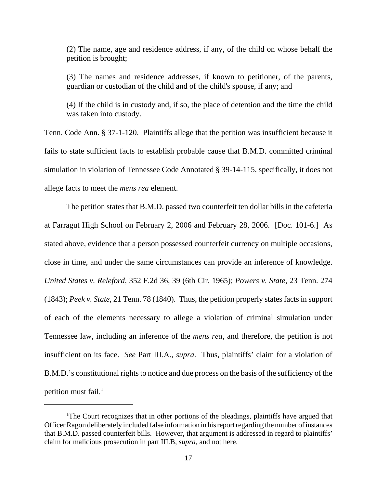(2) The name, age and residence address, if any, of the child on whose behalf the petition is brought;

(3) The names and residence addresses, if known to petitioner, of the parents, guardian or custodian of the child and of the child's spouse, if any; and

(4) If the child is in custody and, if so, the place of detention and the time the child was taken into custody.

Tenn. Code Ann. § 37-1-120. Plaintiffs allege that the petition was insufficient because it fails to state sufficient facts to establish probable cause that B.M.D. committed criminal simulation in violation of Tennessee Code Annotated § 39-14-115, specifically, it does not allege facts to meet the *mens rea* element.

The petition states that B.M.D. passed two counterfeit ten dollar bills in the cafeteria at Farragut High School on February 2, 2006 and February 28, 2006. [Doc. 101-6.] As stated above, evidence that a person possessed counterfeit currency on multiple occasions, close in time, and under the same circumstances can provide an inference of knowledge. *United States v. Releford*, 352 F.2d 36, 39 (6th Cir. 1965); *Powers v. State*, 23 Tenn. 274 (1843); *Peek v. State*, 21 Tenn. 78 (1840). Thus, the petition properly states facts in support of each of the elements necessary to allege a violation of criminal simulation under Tennessee law, including an inference of the *mens rea*, and therefore, the petition is not insufficient on its face. *See* Part III.A., *supra*. Thus, plaintiffs' claim for a violation of B.M.D.'s constitutional rights to notice and due process on the basis of the sufficiency of the petition must fail. $<sup>1</sup>$ </sup>

<sup>&</sup>lt;sup>1</sup>The Court recognizes that in other portions of the pleadings, plaintiffs have argued that Officer Ragon deliberately included false information in his report regarding the number of instances that B.M.D. passed counterfeit bills. However, that argument is addressed in regard to plaintiffs' claim for malicious prosecution in part III.B, *supra*, and not here.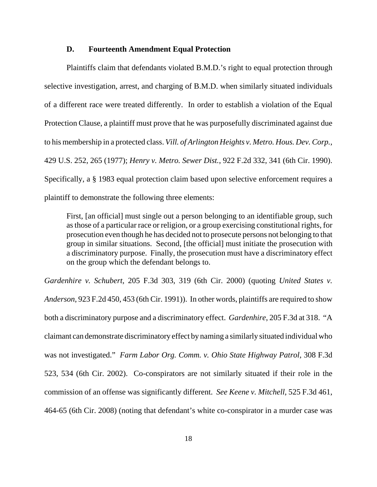#### **D. Fourteenth Amendment Equal Protection**

Plaintiffs claim that defendants violated B.M.D.'s right to equal protection through selective investigation, arrest, and charging of B.M.D. when similarly situated individuals of a different race were treated differently. In order to establish a violation of the Equal Protection Clause, a plaintiff must prove that he was purposefully discriminated against due to his membership in a protected class. *Vill. of Arlington Heights v. Metro. Hous. Dev. Corp.*, 429 U.S. 252, 265 (1977); *Henry v. Metro. Sewer Dist.*, 922 F.2d 332, 341 (6th Cir. 1990). Specifically, a § 1983 equal protection claim based upon selective enforcement requires a plaintiff to demonstrate the following three elements:

First, [an official] must single out a person belonging to an identifiable group, such as those of a particular race or religion, or a group exercising constitutional rights, for prosecution even though he has decided not to prosecute persons not belonging to that group in similar situations. Second, [the official] must initiate the prosecution with a discriminatory purpose. Finally, the prosecution must have a discriminatory effect on the group which the defendant belongs to.

*Gardenhire v. Schubert*, 205 F.3d 303, 319 (6th Cir. 2000) (quoting *United States v. Anderson*, 923 F.2d 450, 453 (6th Cir. 1991)). In other words, plaintiffs are required to show both a discriminatory purpose and a discriminatory effect. *Gardenhire*, 205 F.3d at 318. "A claimant can demonstrate discriminatory effect by naming a similarly situated individual who was not investigated." *Farm Labor Org. Comm. v. Ohio State Highway Patrol*, 308 F.3d 523, 534 (6th Cir. 2002). Co-conspirators are not similarly situated if their role in the commission of an offense was significantly different. *See Keene v. Mitchell*, 525 F.3d 461, 464-65 (6th Cir. 2008) (noting that defendant's white co-conspirator in a murder case was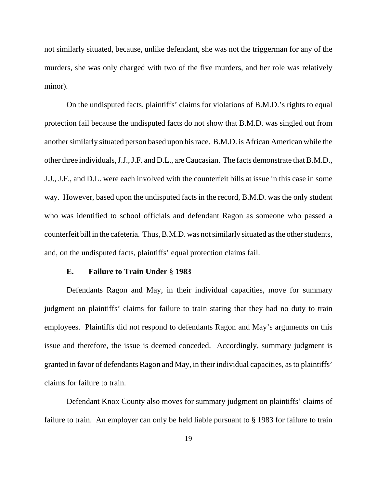not similarly situated, because, unlike defendant, she was not the triggerman for any of the murders, she was only charged with two of the five murders, and her role was relatively minor).

On the undisputed facts, plaintiffs' claims for violations of B.M.D.'s rights to equal protection fail because the undisputed facts do not show that B.M.D. was singled out from another similarly situated person based upon his race. B.M.D. is African American while the other three individuals, J.J., J.F. and D.L., are Caucasian. The facts demonstrate that B.M.D., J.J., J.F., and D.L. were each involved with the counterfeit bills at issue in this case in some way. However, based upon the undisputed facts in the record, B.M.D. was the only student who was identified to school officials and defendant Ragon as someone who passed a counterfeit bill in the cafeteria. Thus, B.M.D. was not similarly situated as the other students, and, on the undisputed facts, plaintiffs' equal protection claims fail.

#### **E. Failure to Train Under** § **1983**

Defendants Ragon and May, in their individual capacities, move for summary judgment on plaintiffs' claims for failure to train stating that they had no duty to train employees. Plaintiffs did not respond to defendants Ragon and May's arguments on this issue and therefore, the issue is deemed conceded. Accordingly, summary judgment is granted in favor of defendants Ragon and May, in their individual capacities, as to plaintiffs' claims for failure to train.

Defendant Knox County also moves for summary judgment on plaintiffs' claims of failure to train. An employer can only be held liable pursuant to § 1983 for failure to train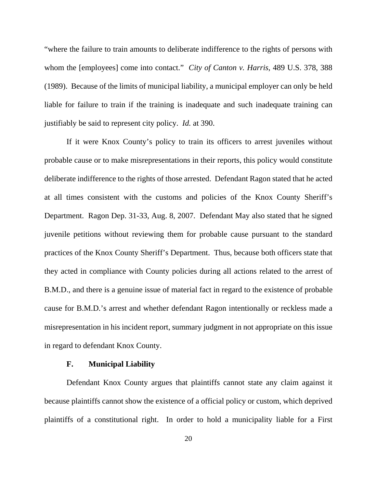"where the failure to train amounts to deliberate indifference to the rights of persons with whom the [employees] come into contact." *City of Canton v. Harris*, 489 U.S. 378, 388 (1989). Because of the limits of municipal liability, a municipal employer can only be held liable for failure to train if the training is inadequate and such inadequate training can justifiably be said to represent city policy. *Id.* at 390.

If it were Knox County's policy to train its officers to arrest juveniles without probable cause or to make misrepresentations in their reports, this policy would constitute deliberate indifference to the rights of those arrested. Defendant Ragon stated that he acted at all times consistent with the customs and policies of the Knox County Sheriff's Department. Ragon Dep. 31-33, Aug. 8, 2007. Defendant May also stated that he signed juvenile petitions without reviewing them for probable cause pursuant to the standard practices of the Knox County Sheriff's Department. Thus, because both officers state that they acted in compliance with County policies during all actions related to the arrest of B.M.D., and there is a genuine issue of material fact in regard to the existence of probable cause for B.M.D.'s arrest and whether defendant Ragon intentionally or reckless made a misrepresentation in his incident report, summary judgment in not appropriate on this issue in regard to defendant Knox County.

#### **F. Municipal Liability**

Defendant Knox County argues that plaintiffs cannot state any claim against it because plaintiffs cannot show the existence of a official policy or custom, which deprived plaintiffs of a constitutional right. In order to hold a municipality liable for a First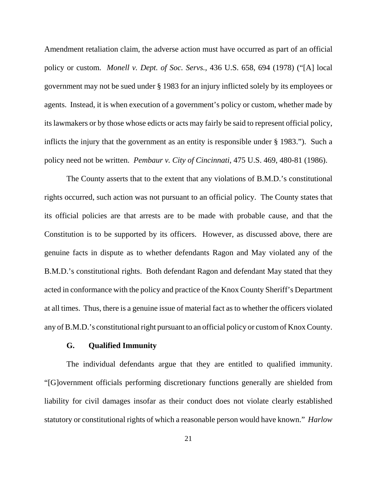Amendment retaliation claim, the adverse action must have occurred as part of an official policy or custom. *Monell v. Dept. of Soc. Servs.*, 436 U.S. 658, 694 (1978) ("[A] local government may not be sued under § 1983 for an injury inflicted solely by its employees or agents. Instead, it is when execution of a government's policy or custom, whether made by its lawmakers or by those whose edicts or acts may fairly be said to represent official policy, inflicts the injury that the government as an entity is responsible under § 1983."). Such a policy need not be written. *Pembaur v. City of Cincinnati*, 475 U.S. 469, 480-81 (1986).

The County asserts that to the extent that any violations of B.M.D.'s constitutional rights occurred, such action was not pursuant to an official policy. The County states that its official policies are that arrests are to be made with probable cause, and that the Constitution is to be supported by its officers. However, as discussed above, there are genuine facts in dispute as to whether defendants Ragon and May violated any of the B.M.D.'s constitutional rights. Both defendant Ragon and defendant May stated that they acted in conformance with the policy and practice of the Knox County Sheriff's Department at all times. Thus, there is a genuine issue of material fact as to whether the officers violated any of B.M.D.'s constitutional right pursuant to an official policy or custom of Knox County.

## **G. Qualified Immunity**

The individual defendants argue that they are entitled to qualified immunity. "[G]overnment officials performing discretionary functions generally are shielded from liability for civil damages insofar as their conduct does not violate clearly established statutory or constitutional rights of which a reasonable person would have known." *Harlow*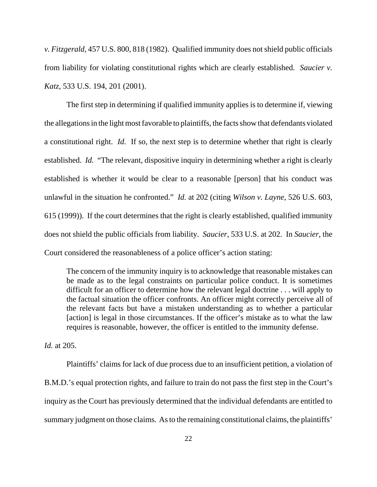*v. Fitzgerald*, 457 U.S. 800, 818 (1982). Qualified immunity does not shield public officials from liability for violating constitutional rights which are clearly established. *Saucier v. Katz*, 533 U.S. 194, 201 (2001).

The first step in determining if qualified immunity applies is to determine if, viewing the allegations in the light most favorable to plaintiffs, the facts show that defendants violated a constitutional right. *Id.* If so, the next step is to determine whether that right is clearly established. *Id.* "The relevant, dispositive inquiry in determining whether a right is clearly established is whether it would be clear to a reasonable [person] that his conduct was unlawful in the situation he confronted." *Id.* at 202 (citing *Wilson v. Layne*, 526 U.S. 603, 615 (1999)). If the court determines that the right is clearly established, qualified immunity does not shield the public officials from liability. *Saucier*, 533 U.S. at 202. In *Saucier*, the Court considered the reasonableness of a police officer's action stating:

The concern of the immunity inquiry is to acknowledge that reasonable mistakes can be made as to the legal constraints on particular police conduct. It is sometimes difficult for an officer to determine how the relevant legal doctrine . . . will apply to the factual situation the officer confronts. An officer might correctly perceive all of the relevant facts but have a mistaken understanding as to whether a particular [action] is legal in those circumstances. If the officer's mistake as to what the law requires is reasonable, however, the officer is entitled to the immunity defense.

*Id.* at 205.

Plaintiffs' claims for lack of due process due to an insufficient petition, a violation of B.M.D.'s equal protection rights, and failure to train do not pass the first step in the Court's inquiry as the Court has previously determined that the individual defendants are entitled to summary judgment on those claims. As to the remaining constitutional claims, the plaintiffs'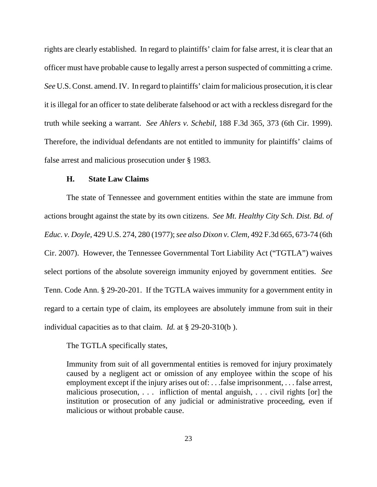rights are clearly established. In regard to plaintiffs' claim for false arrest, it is clear that an officer must have probable cause to legally arrest a person suspected of committing a crime. *See* U.S. Const. amend. IV. In regard to plaintiffs' claim for malicious prosecution, it is clear it is illegal for an officer to state deliberate falsehood or act with a reckless disregard for the truth while seeking a warrant. *See Ahlers v. Schebil*, 188 F.3d 365, 373 (6th Cir. 1999). Therefore, the individual defendants are not entitled to immunity for plaintiffs' claims of false arrest and malicious prosecution under § 1983.

## **H. State Law Claims**

The state of Tennessee and government entities within the state are immune from actions brought against the state by its own citizens. *See Mt. Healthy City Sch. Dist. Bd. of Educ. v. Doyle*, 429 U.S. 274, 280 (1977); *see also Dixon v. Clem*, 492 F.3d 665, 673-74 (6th Cir. 2007). However, the Tennessee Governmental Tort Liability Act ("TGTLA") waives select portions of the absolute sovereign immunity enjoyed by government entities. *See* Tenn. Code Ann. § 29-20-201. If the TGTLA waives immunity for a government entity in regard to a certain type of claim, its employees are absolutely immune from suit in their individual capacities as to that claim. *Id.* at § 29-20-310(b ).

The TGTLA specifically states,

Immunity from suit of all governmental entities is removed for injury proximately caused by a negligent act or omission of any employee within the scope of his employment except if the injury arises out of: . . .false imprisonment, . . . false arrest, malicious prosecution, . . . infliction of mental anguish, . . . civil rights [or] the institution or prosecution of any judicial or administrative proceeding, even if malicious or without probable cause.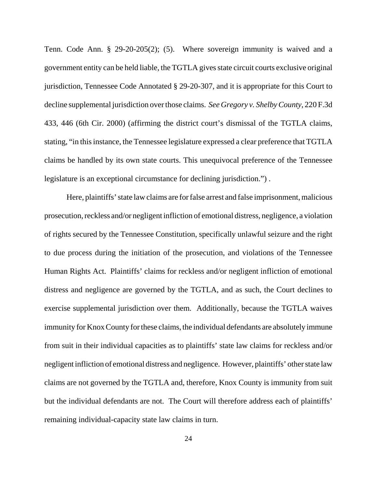Tenn. Code Ann. § 29-20-205(2); (5). Where sovereign immunity is waived and a government entity can be held liable, the TGTLA gives state circuit courts exclusive original jurisdiction, Tennessee Code Annotated § 29-20-307, and it is appropriate for this Court to decline supplemental jurisdiction over those claims. *See Gregory v. Shelby County*, 220 F.3d 433, 446 (6th Cir. 2000) (affirming the district court's dismissal of the TGTLA claims, stating, "in this instance, the Tennessee legislature expressed a clear preference that TGTLA claims be handled by its own state courts. This unequivocal preference of the Tennessee legislature is an exceptional circumstance for declining jurisdiction.") .

Here, plaintiffs' state law claims are for false arrest and false imprisonment, malicious prosecution, reckless and/or negligent infliction of emotional distress, negligence, a violation of rights secured by the Tennessee Constitution, specifically unlawful seizure and the right to due process during the initiation of the prosecution, and violations of the Tennessee Human Rights Act. Plaintiffs' claims for reckless and/or negligent infliction of emotional distress and negligence are governed by the TGTLA, and as such, the Court declines to exercise supplemental jurisdiction over them. Additionally, because the TGTLA waives immunity for Knox County for these claims, the individual defendants are absolutely immune from suit in their individual capacities as to plaintiffs' state law claims for reckless and/or negligent infliction of emotional distress and negligence. However, plaintiffs' other state law claims are not governed by the TGTLA and, therefore, Knox County is immunity from suit but the individual defendants are not. The Court will therefore address each of plaintiffs' remaining individual-capacity state law claims in turn.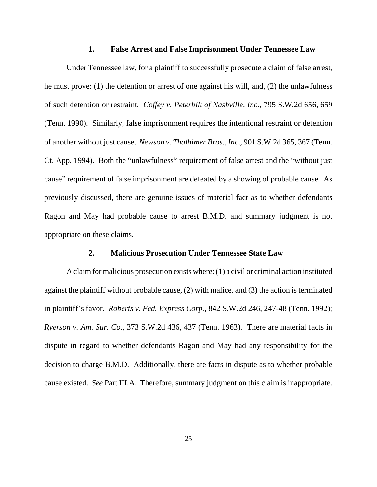#### **1. False Arrest and False Imprisonment Under Tennessee Law**

Under Tennessee law, for a plaintiff to successfully prosecute a claim of false arrest, he must prove: (1) the detention or arrest of one against his will, and, (2) the unlawfulness of such detention or restraint. *Coffey v. Peterbilt of Nashville, Inc.*, 795 S.W.2d 656, 659 (Tenn. 1990). Similarly, false imprisonment requires the intentional restraint or detention of another without just cause. *Newson v. Thalhimer Bros., Inc.*, 901 S.W.2d 365, 367 (Tenn. Ct. App. 1994). Both the "unlawfulness" requirement of false arrest and the "without just cause" requirement of false imprisonment are defeated by a showing of probable cause. As previously discussed, there are genuine issues of material fact as to whether defendants Ragon and May had probable cause to arrest B.M.D. and summary judgment is not appropriate on these claims.

## **2. Malicious Prosecution Under Tennessee State Law**

A claim for malicious prosecution exists where: (1) a civil or criminal action instituted against the plaintiff without probable cause, (2) with malice, and (3) the action is terminated in plaintiff's favor. *Roberts v. Fed. Express Corp.*, 842 S.W.2d 246, 247-48 (Tenn. 1992); *Ryerson v. Am. Sur. Co.*, 373 S.W.2d 436, 437 (Tenn. 1963). There are material facts in dispute in regard to whether defendants Ragon and May had any responsibility for the decision to charge B.M.D. Additionally, there are facts in dispute as to whether probable cause existed. *See* Part III.A. Therefore, summary judgment on this claim is inappropriate.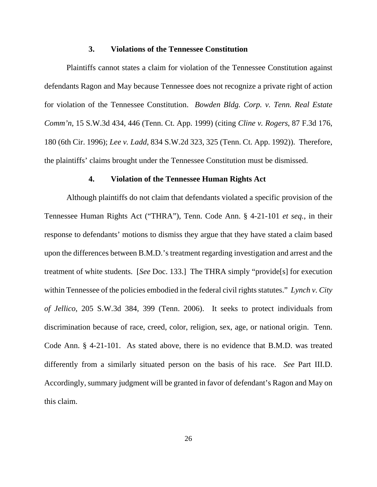#### **3. Violations of the Tennessee Constitution**

Plaintiffs cannot states a claim for violation of the Tennessee Constitution against defendants Ragon and May because Tennessee does not recognize a private right of action for violation of the Tennessee Constitution. *Bowden Bldg. Corp. v. Tenn. Real Estate Comm'n*, 15 S.W.3d 434, 446 (Tenn. Ct. App. 1999) (citing *Cline v. Rogers*, 87 F.3d 176, 180 (6th Cir. 1996); *Lee v. Ladd*, 834 S.W.2d 323, 325 (Tenn. Ct. App. 1992)). Therefore, the plaintiffs' claims brought under the Tennessee Constitution must be dismissed.

## **4. Violation of the Tennessee Human Rights Act**

Although plaintiffs do not claim that defendants violated a specific provision of the Tennessee Human Rights Act ("THRA"), Tenn. Code Ann. § 4-21-101 *et seq.*, in their response to defendants' motions to dismiss they argue that they have stated a claim based upon the differences between B.M.D.'s treatment regarding investigation and arrest and the treatment of white students. [*See* Doc. 133.] The THRA simply "provide[s] for execution within Tennessee of the policies embodied in the federal civil rights statutes." *Lynch v. City of Jellico*, 205 S.W.3d 384, 399 (Tenn. 2006). It seeks to protect individuals from discrimination because of race, creed, color, religion, sex, age, or national origin. Tenn. Code Ann. § 4-21-101. As stated above, there is no evidence that B.M.D. was treated differently from a similarly situated person on the basis of his race. *See* Part III.D. Accordingly, summary judgment will be granted in favor of defendant's Ragon and May on this claim.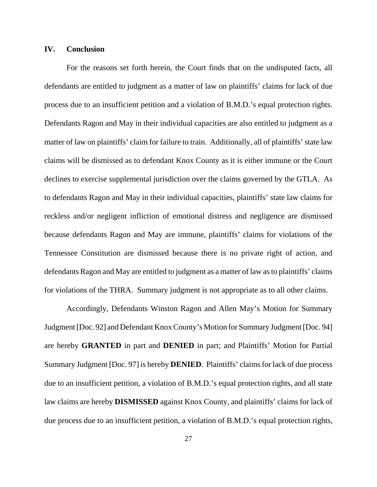## **IV. Conclusion**

For the reasons set forth herein, the Court finds that on the undisputed facts, all defendants are entitled to judgment as a matter of law on plaintiffs' claims for lack of due process due to an insufficient petition and a violation of B.M.D.'s equal protection rights. Defendants Ragon and May in their individual capacities are also entitled to judgment as a matter of law on plaintiffs' claim for failure to train. Additionally, all of plaintiffs' state law claims will be dismissed as to defendant Knox County as it is either immune or the Court declines to exercise supplemental jurisdiction over the claims governed by the GTLA. As to defendants Ragon and May in their individual capacities, plaintiffs' state law claims for reckless and/or negligent infliction of emotional distress and negligence are dismissed because defendants Ragon and May are immune, plaintiffs' claims for violations of the Tennessee Constitution are dismissed because there is no private right of action, and defendants Ragon and May are entitled to judgment as a matter of law as to plaintiffs' claims for violations of the THRA. Summary judgment is not appropriate as to all other claims.

Accordingly, Defendants Winston Ragon and Allen May's Motion for Summary Judgment [Doc. 92] and Defendant Knox County's Motion for Summary Judgment [Doc. 94] are hereby **GRANTED** in part and **DENIED** in part; and Plaintiffs' Motion for Partial Summary Judgment [Doc. 97] is hereby **DENIED**. Plaintiffs' claims for lack of due process due to an insufficient petition, a violation of B.M.D.'s equal protection rights, and all state law claims are hereby **DISMISSED** against Knox County, and plaintiffs' claims for lack of due process due to an insufficient petition, a violation of B.M.D.'s equal protection rights,